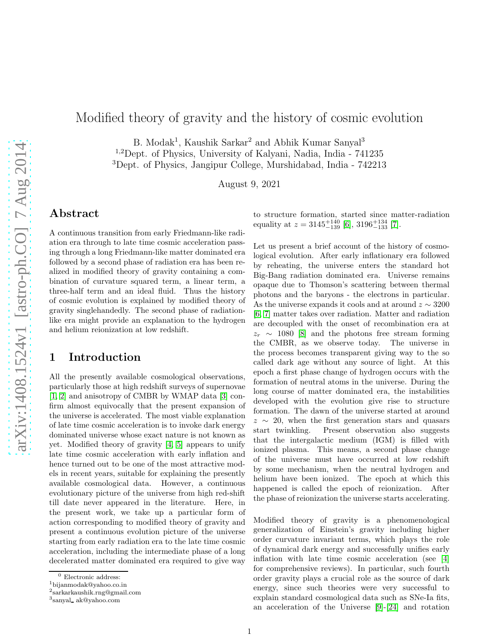# Modified theory of gravity and the history of cosmic evolution

B. Modak<sup>1</sup>, Kaushik Sarkar<sup>2</sup> and Abhik Kumar Sanyal<sup>3</sup>

<sup>1</sup>,<sup>2</sup>Dept. of Physics, University of Kalyani, Nadia, India - 741235

<sup>3</sup>Dept. of Physics, Jangipur College, Murshidabad, India - 742213

August 9, 2021

### Abstract

A continuous transition from early Friedmann-like radiation era through to late time cosmic acceleration passing through a long Friedmann-like matter dominated era followed by a second phase of radiation era has been realized in modified theory of gravity containing a combination of curvature squared term, a linear term, a three-half term and an ideal fluid. Thus the history of cosmic evolution is explained by modified theory of gravity singlehandedly. The second phase of radiationlike era might provide an explanation to the hydrogen and helium reionization at low redshift.

### 1 Introduction

All the presently available cosmological observations, particularly those at high redshift surveys of supernovae [\[1,](#page-13-0) [2\]](#page-13-1) and anisotropy of CMBR by WMAP data [\[3\]](#page-13-2) confirm almost equivocally that the present expansion of the universe is accelerated. The most viable explanation of late time cosmic acceleration is to invoke dark energy dominated universe whose exact nature is not known as yet. Modified theory of gravity [\[4,](#page-13-3) [5\]](#page-13-4) appears to unify late time cosmic acceleration with early inflation and hence turned out to be one of the most attractive models in recent years, suitable for explaining the presently available cosmological data. However, a continuous evolutionary picture of the universe from high red-shift till date never appeared in the literature. Here, in the present work, we take up a particular form of action corresponding to modified theory of gravity and present a continuous evolution picture of the universe starting from early radiation era to the late time cosmic acceleration, including the intermediate phase of a long decelerated matter dominated era required to give way

to structure formation, started since matter-radiation equality at  $z = 3145^{+140}_{-139}$  [\[6\]](#page-13-5),  $3196^{+134}_{-133}$  [\[7\]](#page-13-6).

Let us present a brief account of the history of cosmological evolution. After early inflationary era followed by reheating, the universe enters the standard hot Big-Bang radiation dominated era. Universe remains opaque due to Thomson's scattering between thermal photons and the baryons - the electrons in particular. As the universe expands it cools and at around  $z \sim 3200$ [\[6,](#page-13-5) [7\]](#page-13-6) matter takes over radiation. Matter and radiation are decoupled with the onset of recombination era at  $z_r \sim 1080$  [\[8\]](#page-13-7) and the photons free stream forming the CMBR, as we observe today. The universe in the process becomes transparent giving way to the so called dark age without any source of light. At this epoch a first phase change of hydrogen occurs with the formation of neutral atoms in the universe. During the long course of matter dominated era, the instabilities developed with the evolution give rise to structure formation. The dawn of the universe started at around  $z \sim 20$ , when the first generation stars and quasars start twinkling. Present observation also suggests Present observation also suggests that the intergalactic medium (IGM) is filled with ionized plasma. This means, a second phase change of the universe must have occurred at low redshift by some mechanism, when the neutral hydrogen and helium have been ionized. The epoch at which this happened is called the epoch of reionization. After the phase of reionization the universe starts accelerating.

Modified theory of gravity is a phenomenological generalization of Einstein's gravity including higher order curvature invariant terms, which plays the role of dynamical dark energy and successfully unifies early inflation with late time cosmic acceleration (see [\[4\]](#page-13-3) for comprehensive reviews). In particular, such fourth order gravity plays a crucial role as the source of dark energy, since such theories were very successful to explain standard cosmological data such as SNe-Ia fits, an acceleration of the Universe [\[9\]](#page-13-8)-[\[24\]](#page-13-9) and rotation

 $^0$  Electronic address:

<sup>1</sup>bijanmodak@yahoo.co.in

<sup>2</sup> sarkarkaushik.rng@gmail.com

<sup>3</sup> sanyal ak@yahoo.com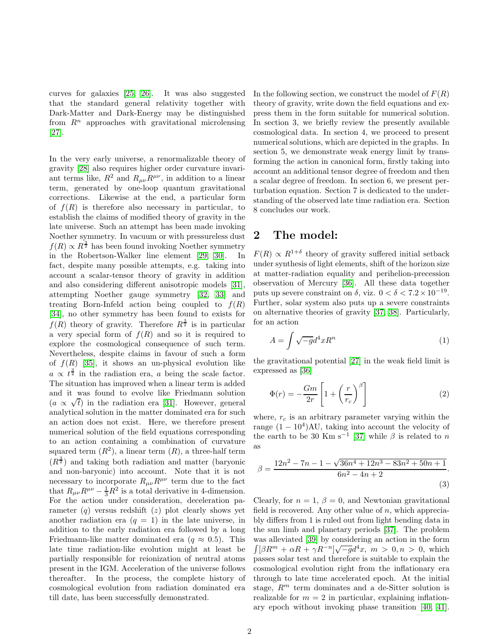curves for galaxies [\[25,](#page-13-10) [26\]](#page-13-11). It was also suggested that the standard general relativity together with Dark-Matter and Dark-Energy may be distinguished from  $R<sup>n</sup>$  approaches with gravitational microlensing [\[27\]](#page-13-12).

In the very early universe, a renormalizable theory of gravity [\[28\]](#page-13-13) also requires higher order curvature invariant terms like,  $R^2$  and  $R_{\mu\nu}R^{\mu\nu}$ , in addition to a linear term, generated by one-loop quantum gravitational corrections. Likewise at the end, a particular form of  $f(R)$  is therefore also necessary in particular, to establish the claims of modified theory of gravity in the late universe. Such an attempt has been made invoking Noether symmetry. In vacuum or with pressureless dust  $f(R) \propto R^{\frac{3}{2}}$  has been found invoking Noether symmetry in the Robertson-Walker line element [\[29,](#page-13-14) [30\]](#page-14-0). In fact, despite many possible attempts, e.g. taking into account a scalar-tensor theory of gravity in addition and also considering different anisotropic models [\[31\]](#page-14-1), attempting Noether gauge symmetry [\[32,](#page-14-2) [33\]](#page-14-3) and treating Born-Infeld action being coupled to  $f(R)$ [\[34\]](#page-14-4), no other symmetry has been found to exists for  $f(R)$  theory of gravity. Therefore  $R^{\frac{3}{2}}$  is in particular a very special form of  $f(R)$  and so it is required to explore the cosmological consequence of such term. Nevertheless, despite claims in favour of such a form of  $f(R)$  [\[35\]](#page-14-5), it shows an un-physical evolution like  $a \propto t^{\frac{3}{4}}$  in the radiation era, a being the scale factor. The situation has improved when a linear term is added and it was found to evolve like Friedmann solution  $(a \propto \sqrt{t})$  in the radiation era [\[31\]](#page-14-1). However, general analytical solution in the matter dominated era for such an action does not exist. Here, we therefore present numerical solution of the field equations corresponding to an action containing a combination of curvature squared term  $(R^2)$ , a linear term  $(R)$ , a three-half term  $(R^{\frac{3}{2}})$  and taking both radiation and matter (baryonic and non-baryonic) into account. Note that it is not necessary to incorporate  $R_{\mu\nu}R^{\mu\nu}$  term due to the fact that  $R_{\mu\nu}R^{\mu\nu} - \frac{1}{3}R^2$  is a total derivative in 4-dimension. For the action under consideration, deceleration parameter  $(q)$  versus redshift  $(z)$  plot clearly shows yet another radiation era  $(q = 1)$  in the late universe, in addition to the early radiation era followed by a long Friedmann-like matter dominated era  $(q \approx 0.5)$ . This late time radiation-like evolution might at least be partially responsible for reionization of neutral atoms present in the IGM. Acceleration of the universe follows thereafter. In the process, the complete history of cosmological evolution from radiation dominated era till date, has been successfully demonstrated.

In the following section, we construct the model of  $F(R)$ theory of gravity, write down the field equations and express them in the form suitable for numerical solution. In section 3, we briefly review the presently available cosmological data. In section 4, we proceed to present numerical solutions, which are depicted in the graphs. In section 5, we demonstrate weak energy limit by transforming the action in canonical form, firstly taking into account an additional tensor degree of freedom and then a scalar degree of freedom. In section 6, we present perturbation equation. Section 7 is dedicated to the understanding of the observed late time radiation era. Section 8 concludes our work.

## 2 The model:

 $F(R) \propto R^{1+\delta}$  theory of gravity suffered initial setback under synthesis of light elements, shift of the horizon size at matter-radiation equality and perihelion-precession observation of Mercury [\[36\]](#page-14-6). All these data together puts up severe constraint on  $\delta$ , viz.  $0 < \delta < 7.2 \times 10^{-19}$ . Further, solar system also puts up a severe constraints on alternative theories of gravity [\[37,](#page-14-7) [38\]](#page-14-8). Particularly, for an action

$$
A = \int \sqrt{-g}d^4x R^n \tag{1}
$$

the gravitational potential [\[27\]](#page-13-12) in the weak field limit is expressed as [\[36\]](#page-14-6)

<span id="page-1-0"></span>
$$
\Phi(r) = -\frac{Gm}{2r} \left[ 1 + \left(\frac{r}{r_c}\right)^{\beta} \right] \tag{2}
$$

where,  $r_c$  is an arbitrary parameter varying within the range  $(1 - 10^4)$ AU, taking into account the velocity of the earth to be 30 Km s<sup>-1</sup> [\[37\]](#page-14-7) while  $\beta$  is related to n as

$$
\beta = \frac{12n^2 - 7n - 1 - \sqrt{36n^4 + 12n^3 - 83n^2 + 50n + 1}}{6n^2 - 4n + 2}.
$$
\n(3)

Clearly, for  $n = 1$ ,  $\beta = 0$ , and Newtonian gravitational field is recovered. Any other value of  $n$ , which appreciably differs from 1 is ruled out from light bending data in the sun limb and planetary periods [\[37\]](#page-14-7). The problem was alleviated [\[39\]](#page-14-9) by considering an action in the form  $\int [\beta R^m + \alpha R + \gamma R^{-n}] \sqrt{-g} d^4x$ ,  $m > 0, n > 0$ , which passes solar test and therefore is suitable to explain the cosmological evolution right from the inflationary era through to late time accelerated epoch. At the initial stage,  $R^m$  term dominates and a de-Sitter solution is realizable for  $m = 2$  in particular, explaining inflationary epoch without invoking phase transition [\[40,](#page-14-10) [41\]](#page-14-11).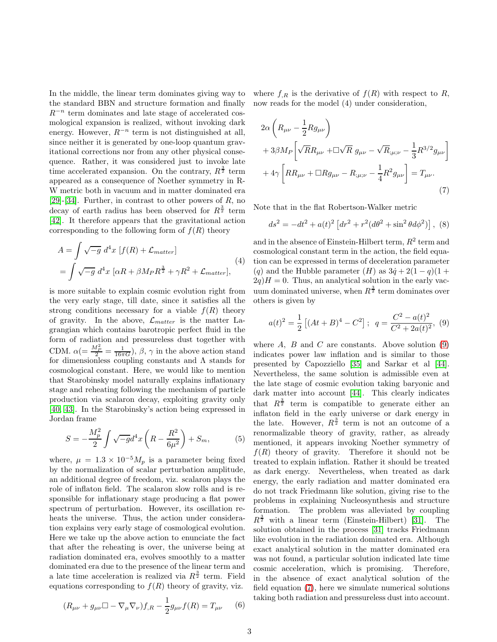In the middle, the linear term dominates giving way to the standard BBN and structure formation and finally  $R^{-n}$  term dominates and late stage of accelerated cosmological expansion is realized, without invoking dark energy. However,  $R^{-n}$  term is not distinguished at all, since neither it is generated by one-loop quantum gravitational corrections nor from any other physical consequence. Rather, it was considered just to invoke late time accelerated expansion. On the contrary,  $R^{\frac{3}{2}}$  term appeared as a consequence of Noether symmetry in R-W metric both in vacuum and in matter dominated era [\[29\]](#page-13-14)-[\[34\]](#page-14-4). Further, in contrast to other powers of  $R$ , no decay of earth radius has been observed for  $R^{\frac{3}{2}}$  term [\[42\]](#page-14-12). It therefore appears that the gravitational action corresponding to the following form of  $f(R)$  theory

$$
A = \int \sqrt{-g} d^4x \left[ f(R) + \mathcal{L}_{matter} \right]
$$
  
= 
$$
\int \sqrt{-g} d^4x \left[ \alpha R + \beta M_P R^{\frac{3}{2}} + \gamma R^2 + \mathcal{L}_{matter} \right],
$$
 (4)

is more suitable to explain cosmic evolution right from the very early stage, till date, since it satisfies all the strong conditions necessary for a viable  $f(R)$  theory of gravity. In the above,  $\mathcal{L}_{matter}$  is the matter Lagrangian which contains barotropic perfect fluid in the form of radiation and pressureless dust together with CDM.  $\alpha = \frac{M_P^2}{2} = \frac{1}{16\pi G}$ ,  $\beta$ ,  $\gamma$  in the above action stand for dimensionless coupling constants and  $\Lambda$  stands for cosmological constant. Here, we would like to mention that Starobinsky model naturally explains inflationary stage and reheating following the mechanism of particle production via scalaron decay, exploiting gravity only [\[40,](#page-14-10) [43\]](#page-14-13). In the Starobinsky's action being expressed in Jordan frame

$$
S = -\frac{M_p^2}{2} \int \sqrt{-g} d^4 x \left( R - \frac{R^2}{6\mu^2} \right) + S_m, \tag{5}
$$

where,  $\mu = 1.3 \times 10^{-5} M_p$  is a parameter being fixed by the normalization of scalar perturbation amplitude, an additional degree of freedom, viz. scalaron plays the role of inflaton field. The scalaron slow rolls and is responsible for inflationary stage producing a flat power spectrum of perturbation. However, its oscillation reheats the universe. Thus, the action under consideration explains very early stage of cosmological evolution. Here we take up the above action to enunciate the fact that after the reheating is over, the universe being at radiation dominated era, evolves smoothly to a matter dominated era due to the presence of the linear term and a late time acceleration is realized via  $R^{\frac{3}{2}}$  term. Field equations corresponding to  $f(R)$  theory of gravity, viz.

$$
(R_{\mu\nu} + g_{\mu\nu}\Box - \nabla_{\mu}\nabla_{\nu})f_{,R} - \frac{1}{2}g_{\mu\nu}f(R) = T_{\mu\nu} \qquad (6)
$$

where  $f_{R}$  is the derivative of  $f(R)$  with respect to R, now reads for the model (4) under consideration,

<span id="page-2-1"></span>
$$
2\alpha \left( R_{\mu\nu} - \frac{1}{2} R g_{\mu\nu} \right)
$$
  
+ 3 $\beta M_P \left[ \sqrt{R} R_{\mu\nu} + \Box \sqrt{R} g_{\mu\nu} - \sqrt{R}_{;\mu;\nu} - \frac{1}{3} R^{3/2} g_{\mu\nu} \right]$   
+ 4 $\gamma \left[ R R_{\mu\nu} + \Box R g_{\mu\nu} - R_{;\mu;\nu} - \frac{1}{4} R^2 g_{\mu\nu} \right] = T_{\mu\nu}.$  (7)

Note that in the flat Robertson-Walker metric

<span id="page-2-2"></span>
$$
ds^{2} = -dt^{2} + a(t)^{2} \left[ dr^{2} + r^{2} (d\theta^{2} + \sin^{2} \theta d\phi^{2}) \right], (8)
$$

<span id="page-2-3"></span>and in the absence of Einstein-Hilbert term,  $R^2$  term and cosmological constant term in the action, the field equation can be expressed in terms of deceleration parameter (q) and the Hubble parameter  $(H)$  as  $3\dot{q} + 2(1 - q)(1 +$  $2q$ ) $H = 0$ . Thus, an analytical solution in the early vacuum dominated universe, when  $R^{\frac{3}{2}}$  term dominates over others is given by

<span id="page-2-0"></span>
$$
a(t)^{2} = \frac{1}{2} [(At + B)^{4} - C^{2}]; \quad q = \frac{C^{2} - a(t)^{2}}{C^{2} + 2a(t)^{2}}, \tag{9}
$$

where  $A$ ,  $B$  and  $C$  are constants. Above solution [\(9\)](#page-2-0) indicates power law inflation and is similar to those presented by Capozziello [\[35\]](#page-14-5) and Sarkar et al [\[44\]](#page-14-14). Nevertheless, the same solution is admissible even at the late stage of cosmic evolution taking baryonic and dark matter into account [\[44\]](#page-14-14). This clearly indicates that  $R^{\frac{3}{2}}$  term is compatible to generate either an inflaton field in the early universe or dark energy in the late. However,  $R^{\frac{3}{2}}$  term is not an outcome of a renormalizable theory of gravity, rather, as already mentioned, it appears invoking Noether symmetry of  $f(R)$  theory of gravity. Therefore it should not be treated to explain inflation. Rather it should be treated as dark energy. Nevertheless, when treated as dark energy, the early radiation and matter dominated era do not track Friedmann like solution, giving rise to the problems in explaining Nucleosynthesis and structure formation. The problem was alleviated by coupling  $R^{\frac{3}{2}}$  with a linear term (Einstein-Hilbert) [\[31\]](#page-14-1). The solution obtained in the process [\[31\]](#page-14-1) tracks Friedmann like evolution in the radiation dominated era. Although exact analytical solution in the matter dominated era was not found, a particular solution indicated late time cosmic acceleration, which is promising. Therefore, in the absence of exact analytical solution of the field equation [\(7\)](#page-2-1), here we simulate numerical solutions taking both radiation and pressureless dust into account.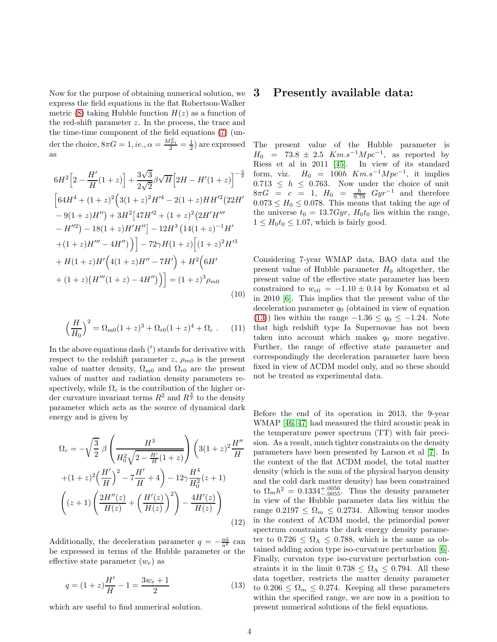Now for the purpose of obtaining numerical solution, we express the field equations in the flat Robertson-Walker metric [\(8\)](#page-2-2) taking Hubble function  $H(z)$  as a function of the red-shift parameter z. In the process, the trace and the time-time component of the field equations [\(7\)](#page-2-1) (under the choice,  $8\pi G = 1$ , *ie.*,  $\alpha = \frac{M_{Pl}^2}{2} = \frac{1}{2}$  are expressed as

<span id="page-3-1"></span>
$$
6H^{2}\left[2-\frac{H'}{H}(1+z)\right]+\frac{3\sqrt{3}}{2\sqrt{2}}\beta\sqrt{H}\left[2H-H'(1+z)\right]^{-\frac{3}{2}}
$$

$$
\left[64H^{4}+(1+z)^{2}\left(3(1+z)^{2}H'^{4}-2(1+z)HH'^{2}(22H'-9(1+z)H'')\right)+3H^{2}\left[47H'^{2}+(1+z)^{2}\left(2H'H'''\right)\right]-H''^{2}\right]-18(1+z)H'H'']-12H^{3}\left(14(1+z)^{-1}H'+(1+z)H'''-4H'')\right)\right]-72\gamma H(1+z)\left[(1+z)^{2}H'^{3}\right]+\frac{H(1+z)H'\left(4(1+z)H''-7H'\right)+H^{2}\left(6H'+(1+z)(H'''(1+z)-4H'')\right)\right]=(1+z)^{3}\rho_{m0}
$$
\n(10)

$$
\left(\frac{H}{H_0}\right)^2 = \Omega_{\rm m0}(1+z)^3 + \Omega_{\rm r0}(1+z)^4 + \Omega_c \ . \tag{11}
$$

In the above equations dash (′ ) stands for derivative with respect to the redshift parameter z,  $\rho_{m0}$  is the present value of matter density,  $\Omega_{\text{m0}}$  and  $\Omega_{\text{r0}}$  are the present values of matter and radiation density parameters respectively, while  $\Omega_c$  is the contribution of the higher order curvature invariant terms  $R^2$  and  $R^{\frac{3}{2}}$  to the density parameter which acts as the source of dynamical dark energy and is given by

<span id="page-3-2"></span>
$$
\Omega_c = -\sqrt{\frac{3}{2}} \beta \left( \frac{H^3}{H_0^2 \sqrt{2 - \frac{H'}{H}(1+z)}} \right) \left( 3(1+z)^2 \frac{H''}{H} + (1+z)^2 \left( \frac{H'}{H} \right)^2 - 7 \frac{H'}{H} + 4 \right) - 12\gamma \frac{H^4}{H_0^2} (z+1) \left( (z+1) \left( \frac{2H''(z)}{H(z)} + \left( \frac{H'(z)}{H(z)} \right)^2 \right) - \frac{4H'(z)}{H(z)} \right)
$$
\n(12)

Additionally, the deceleration parameter  $q = -\frac{a\ddot{a}}{\dot{a}^2}$  can be expressed in terms of the Hubble parameter or the effective state parameter  $(w_e)$  as

<span id="page-3-0"></span>
$$
q = (1+z)\frac{H'}{H} - 1 = \frac{3w_e + 1}{2} \tag{13}
$$

which are useful to find numerical solution.

#### 3 Presently available data:

The present value of the Hubble parameter is  $H_0$  = 73.8 ± 2.5  $Km.s^{-1}Mpc^{-1}$ , as reported by Riess et al in 2011 [\[45\]](#page-14-15). In view of its standard form, viz.  $H_0 = 100h$   $Km.s^{-1}Mpc^{-1}$ , it implies  $0.713 \leq h \leq 0.763$ . Now under the choice of unit  $8\pi G = c = 1$ ,  $H_0 = \frac{h}{9.78} Gyr^{-1}$  and therefore  $0.073 \leq H_0 \leq 0.078$ . This means that taking the age of the universe  $t_0 = 13.7Gyr$ ,  $H_0t_0$  lies within the range,  $1 \leq H_0 t_0 \leq 1.07$ , which is fairly good.

Considering 7-year WMAP data, BAO data and the present value of Hubble parameter  $H_0$  altogether, the present value of the effective state parameter has been constrained to  $w_{e0} = -1.10 \pm 0.14$  by Komatsu et al in 2010 [\[6\]](#page-13-5). This implies that the present value of the deceleration parameter  $q_0$  (obtained in view of equation [\(13\)](#page-3-0)) lies within the range  $-1.36 \le q_0 \le -1.24$ . Note that high redshift type Ia Supernovae has not been taken into account which makes  $q_0$  more negative. Further, the range of effective state parameter and correspondingly the deceleration parameter have been fixed in view of ΛCDM model only, and so these should not be treated as experimental data.

Before the end of its operation in 2013, the 9-year WMAP [\[46,](#page-14-16) [47\]](#page-14-17) had measured the third acoustic peak in the temperature power spectrum (TT) with fair precision. As a result, much tighter constraints on the density parameters have been presented by Larson et al [\[7\]](#page-13-6). In the context of the flat ΛCDM model, the total matter density (which is the sum of the physical baryon density and the cold dark matter density) has been constrained to  $\Omega_m h^2 = 0.1334^{+.0056}_{-.0055}$ . Thus the density parameter in view of the Hubble parameter data lies within the range  $0.2197 \leq \Omega_m \leq 0.2734$ . Allowing tensor modes in the context of ΛCDM model, the primordial power spectrum constraints the dark energy density parameter to  $0.726 \leq \Omega_{\Lambda} \leq 0.788$ , which is the same as obtained adding axion type iso-curvature perturbation [\[6\]](#page-13-5). Finally, curvaton type iso-curvature perturbation constraints it in the limit  $0.738 \leq \Omega_{\Lambda} \leq 0.794$ . All these data together, restricts the matter density parameter to  $0.206 \leq \Omega_m \leq 0.274$ . Keeping all these parameters within the specified range, we are now in a position to present numerical solutions of the field equations.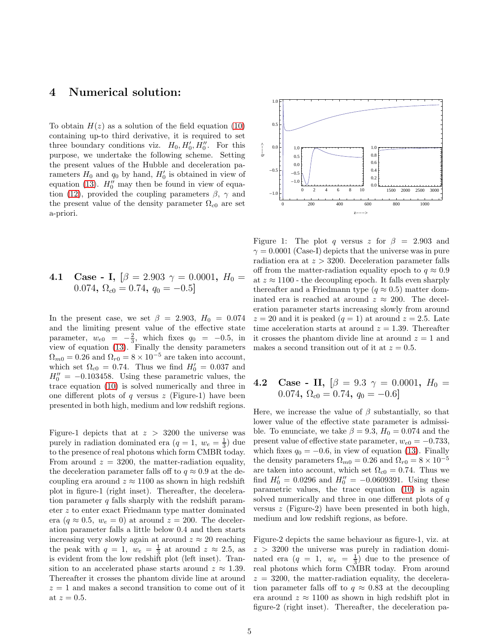### 4 Numerical solution:

To obtain  $H(z)$  as a solution of the field equation [\(10\)](#page-3-1) containing up-to third derivative, it is required to set three boundary conditions viz.  $H_0, H'_0, H''_0$ . For this purpose, we undertake the following scheme. Setting the present values of the Hubble and deceleration parameters  $H_0$  and  $q_0$  by hand,  $H'_0$  is obtained in view of equation [\(13\)](#page-3-0).  $H_0''$  may then be found in view of equa-tion [\(12\)](#page-3-2), provided the coupling parameters  $\beta$ ,  $\gamma$  and the present value of the density parameter  $\Omega_{c0}$  are set a-priori.

**4.1 Case - I,** 
$$
[\beta = 2.903 \gamma = 0.0001, H_0 = 0.074, \Omega_{c0} = 0.74, q_0 = -0.5]
$$

In the present case, we set  $\beta = 2.903, H_0 = 0.074$ and the limiting present value of the effective state parameter,  $w_{e0} = -\frac{2}{3}$ , which fixes  $q_0 = -0.5$ , in view of equation [\(13\)](#page-3-0). Finally the density parameters  $\Omega_{m0} = 0.26$  and  $\Omega_{r0} = 8 \times 10^{-5}$  are taken into account, which set  $\Omega_{c0} = 0.74$ . Thus we find  $H'_0 = 0.037$  and  $H_0'' = -0.103458$ . Using these parametric values, the trace equation [\(10\)](#page-3-1) is solved numerically and three in one different plots of q versus  $z$  (Figure-1) have been presented in both high, medium and low redshift regions.

Figure-1 depicts that at  $z > 3200$  the universe was purely in radiation dominated era  $(q = 1, w_e = \frac{1}{3})$  due to the presence of real photons which form CMBR today. From around  $z = 3200$ , the matter-radiation equality, the deceleration parameter falls off to  $q \approx 0.9$  at the decoupling era around  $z \approx 1100$  as shown in high redshift plot in figure-1 (right inset). Thereafter, the deceleration parameter  $q$  falls sharply with the redshift parameter z to enter exact Friedmann type matter dominated era ( $q \approx 0.5$ ,  $w_e = 0$ ) at around  $z = 200$ . The deceleration parameter falls a little below 0.4 and then starts increasing very slowly again at around  $z \approx 20$  reaching the peak with  $q = 1$ ,  $w_e = \frac{1}{3}$  at around  $z \approx 2.5$ , as is evident from the low redshift plot (left inset). Transition to an accelerated phase starts around  $z \approx 1.39$ . Thereafter it crosses the phantom divide line at around  $z = 1$  and makes a second transition to come out of it at  $z = 0.5$ .



Figure 1: The plot q versus z for  $\beta = 2.903$  and  $\gamma = 0.0001$  (Case-I) depicts that the universe was in pure radiation era at  $z > 3200$ . Deceleration parameter falls off from the matter-radiation equality epoch to  $q \approx 0.9$ at  $z \approx 1100$  - the decoupling epoch. It falls even sharply thereafter and a Friedmann type ( $q \approx 0.5$ ) matter dominated era is reached at around  $z \approx 200$ . The deceleration parameter starts increasing slowly from around  $z = 20$  and it is peaked  $(q = 1)$  at around  $z = 2.5$ . Late time acceleration starts at around  $z = 1.39$ . Thereafter it crosses the phantom divide line at around  $z = 1$  and makes a second transition out of it at  $z = 0.5$ .

**4.2 Case - II,** 
$$
[\beta = 9.3 \ \gamma = 0.0001, H_0 = 0.074, \Omega_{c0} = 0.74, q_0 = -0.6]
$$

Here, we increase the value of  $\beta$  substantially, so that lower value of the effective state parameter is admissible. To enunciate, we take  $\beta = 9.3$ ,  $H_0 = 0.074$  and the present value of effective state parameter,  $w_{e0} = -0.733$ , which fixes  $q_0 = -0.6$ , in view of equation [\(13\)](#page-3-0). Finally the density parameters  $\Omega_{m0} = 0.26$  and  $\Omega_{r0} = 8 \times 10^{-5}$ are taken into account, which set  $\Omega_{c0} = 0.74$ . Thus we find  $H'_0 = 0.0296$  and  $H''_0 = -0.0609391$ . Using these parametric values, the trace equation [\(10\)](#page-3-1) is again solved numerically and three in one different plots of  $q$ versus  $z$  (Figure-2) have been presented in both high, medium and low redshift regions, as before.

Figure-2 depicts the same behaviour as figure-1, viz. at  $z > 3200$  the universe was purely in radiation dominated era  $(q = 1, w_e = \frac{1}{3})$  due to the presence of real photons which form CMBR today. From around  $z = 3200$ , the matter-radiation equality, the deceleration parameter falls off to  $q \approx 0.83$  at the decoupling era around  $z \approx 1100$  as shown in high redshift plot in figure-2 (right inset). Thereafter, the deceleration pa-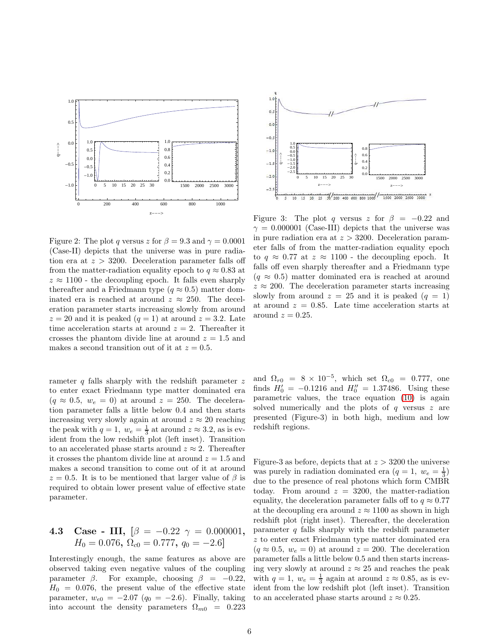

Figure 2: The plot q versus z for  $\beta = 9.3$  and  $\gamma = 0.0001$ (Case-II) depicts that the universe was in pure radiation era at  $z > 3200$ . Deceleration parameter falls off from the matter-radiation equality epoch to  $q \approx 0.83$  at  $z \approx 1100$  - the decoupling epoch. It falls even sharply thereafter and a Friedmann type ( $q \approx 0.5$ ) matter dominated era is reached at around  $z \approx 250$ . The deceleration parameter starts increasing slowly from around  $z = 20$  and it is peaked  $(q = 1)$  at around  $z = 3.2$ . Late time acceleration starts at around  $z = 2$ . Thereafter it crosses the phantom divide line at around  $z = 1.5$  and makes a second transition out of it at  $z = 0.5$ .

rameter  $q$  falls sharply with the redshift parameter  $z$ to enter exact Friedmann type matter dominated era  $(q \approx 0.5, w_e = 0)$  at around  $z = 250$ . The deceleration parameter falls a little below 0.4 and then starts increasing very slowly again at around  $z \approx 20$  reaching the peak with  $q = 1$ ,  $w_e = \frac{1}{3}$  at around  $z \approx 3.2$ , as is evident from the low redshift plot (left inset). Transition to an accelerated phase starts around  $z \approx 2$ . Thereafter it crosses the phantom divide line at around  $z = 1.5$  and makes a second transition to come out of it at around  $z = 0.5$ . It is to be mentioned that larger value of  $\beta$  is required to obtain lower present value of effective state parameter.

4.3 Case - III, 
$$
[\beta = -0.22 \ \gamma = 0.000001,
$$
  
\n $H_0 = 0.076, \ \Omega_{c0} = 0.777, \ q_0 = -2.6]$ 

Interestingly enough, the same features as above are observed taking even negative values of the coupling parameter  $\beta$ . For example, choosing  $\beta = -0.22$ ,  $H_0 = 0.076$ , the present value of the effective state parameter,  $w_{e0} = -2.07$  ( $q_0 = -2.6$ ). Finally, taking into account the density parameters  $\Omega_{m0} = 0.223$ 



Figure 3: The plot q versus z for  $\beta = -0.22$  and  $\gamma = 0.000001$  (Case-III) depicts that the universe was in pure radiation era at  $z > 3200$ . Deceleration parameter falls of from the matter-radiation equality epoch to  $q \approx 0.77$  at  $z \approx 1100$  - the decoupling epoch. It falls off even sharply thereafter and a Friedmann type  $(q \approx 0.5)$  matter dominated era is reached at around  $z \approx 200$ . The deceleration parameter starts increasing slowly from around  $z = 25$  and it is peaked  $(q = 1)$ at around  $z = 0.85$ . Late time acceleration starts at around  $z = 0.25$ .

and  $\Omega_{r0} = 8 \times 10^{-5}$ , which set  $\Omega_{c0} = 0.777$ , one finds  $H'_0 = -0.1216$  and  $H''_0 = 1.37486$ . Using these parametric values, the trace equation [\(10\)](#page-3-1) is again solved numerically and the plots of  $q$  versus  $z$  are presented (Figure-3) in both high, medium and low redshift regions.

Figure-3 as before, depicts that at  $z > 3200$  the universe was purely in radiation dominated era  $(q = 1, w_e = \frac{1}{3})$ due to the presence of real photons which form CMBR today. From around  $z = 3200$ , the matter-radiation equality, the deceleration parameter falls off to  $q \approx 0.77$ at the decoupling era around  $z \approx 1100$  as shown in high redshift plot (right inset). Thereafter, the deceleration parameter  $q$  falls sharply with the redshift parameter z to enter exact Friedmann type matter dominated era  $(q \approx 0.5, w_e = 0)$  at around  $z = 200$ . The deceleration parameter falls a little below 0.5 and then starts increasing very slowly at around  $z \approx 25$  and reaches the peak with  $q = 1$ ,  $w_e = \frac{1}{3}$  again at around  $z \approx 0.85$ , as is evident from the low redshift plot (left inset). Transition to an accelerated phase starts around  $z \approx 0.25$ .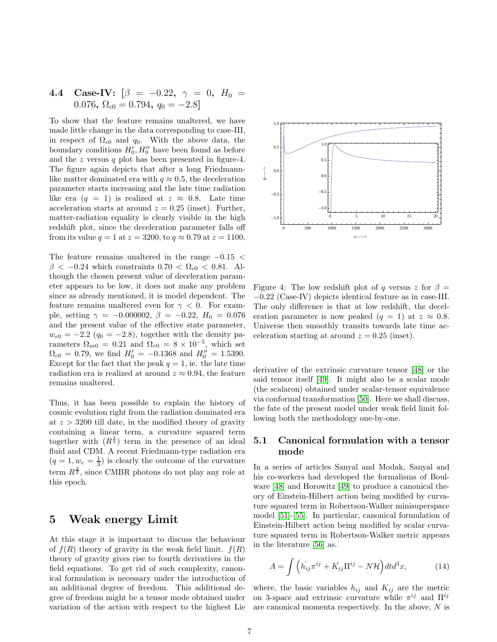### 4.4 Case-IV:  $\beta = -0.22, \gamma = 0, H_0 =$ 0.076,  $\Omega_{c0} = 0.794$ ,  $q_0 = -2.8$ ]

To show that the feature remains unaltered, we have made little change in the data corresponding to case-III, in respect of  $\Omega_{c0}$  and  $q_0$ . With the above data, the boundary conditions  $H'_0, H''_0$  have been found as before and the z versus q plot has been presented in figure-4. The figure again depicts that after a long Friedmannlike matter dominated era with  $q \approx 0.5$ , the deceleration parameter starts increasing and the late time radiation like era  $(q = 1)$  is realized at  $z \approx 0.8$ . Late time acceleration starts at around  $z = 0.25$  (inset). Further, matter-radiation equality is clearly visible in the high redshift plot, since the deceleration parameter falls off from its value  $q = 1$  at  $z = 3200$ , to  $q \approx 0.79$  at  $z = 1100$ .

The feature remains unaltered in the range  $-0.15 <$  $\beta$  < -0.24 which constraints 0.70 <  $\Omega_{c0}$  < 0.81. Although the chosen present value of deceleration parameter appears to be low, it does not make any problem since as already mentioned, it is model dependent. The feature remains unaltered even for  $\gamma < 0$ . For example, setting  $\gamma = -0.000002$ ,  $\beta = -0.22$ ,  $H_0 = 0.076$ and the present value of the effective state parameter,  $w_{e0} = -2.2$  ( $q_0 = -2.8$ ), together with the density parameters  $\Omega_{m0} = 0.21$  and  $\Omega_{r0} = 8 \times 10^{-5}$ , which set  $\Omega_{c0} = 0.79$ , we find  $H_0' = -0.1368$  and  $H_0'' = 1.5390$ . Except for the fact that the peak  $q = 1$ , ie. the late time radiation era is realized at around  $z \approx 0.94$ , the feature remains unaltered.

Thus, it has been possible to explain the history of cosmic evolution right from the radiation dominated era at  $z > 3200$  till date, in the modified theory of gravity containing a linear term, a curvature squared term together with  $(R^{\frac{3}{2}})$  term in the presence of an ideal fluid and CDM. A recent Friedmann-type radiation era  $(q = 1, w_e = \frac{1}{3})$  is clearly the outcome of the curvature term  $R^{\frac{3}{2}}$ , since CMBR photons do not play any role at this epoch.

#### 5 Weak energy Limit

At this stage it is important to discuss the behaviour of  $f(R)$  theory of gravity in the weak field limit.  $f(R)$ theory of gravity gives rise to fourth derivatives in the field equations. To get rid of such complexity, canonical formulation is necessary under the introduction of an additional degree of freedom. This additional degree of freedom might be a tensor mode obtained under variation of the action with respect to the highest Lie



Figure 4: The low redshift plot of q versus z for  $\beta =$ −0.22 (Case-IV) depicts identical feature as in case-III. The only difference is that at low redshift, the deceleration parameter is now peaked  $(q = 1)$  at  $z \approx 0.8$ . Universe then smoothly transits towards late time acceleration starting at around  $z = 0.25$  (inset).

derivative of the extrinsic curvature tensor [\[48\]](#page-14-18) or the said tensor itself [\[49\]](#page-14-19). It might also be a scalar mode (the scalaron) obtained under scalar-tensor equivalence via conformal transformation [\[50\]](#page-14-20). Here we shall discuss, the fate of the present model under weak field limit following both the methodology one-by-one.

#### 5.1 Canonical formulation with a tensor mode

In a series of articles Sanyal and Modak, Sanyal and his co-workers had developed the formalisms of Boulware [\[48\]](#page-14-18) and Horowitz [\[49\]](#page-14-19) to produce a canonical theory of Einstein-Hilbert action being modified by curvature squared term in Robertson-Walker minisuperspace model [\[51\]](#page-14-21)-[\[55\]](#page-14-22). In particular, canonical formulation of Einstein-Hilbert action being modified by scalar curvature squared term in Robertson-Walker metric appears in the literature [\[56\]](#page-14-23) as.

$$
A = \int \left( \dot{h_{ij}} \pi^{ij} + \dot{K_{ij}} \Pi^{ij} - N \mathcal{H} \right) dt d^3 x,\tag{14}
$$

where, the basic variables  $h_{ij}$  and  $K_{ij}$  are the metric on 3-space and extrinsic curvature while  $\pi^{ij}$  and  $\Pi^{ij}$ are canonical momenta respectively. In the above,  $N$  is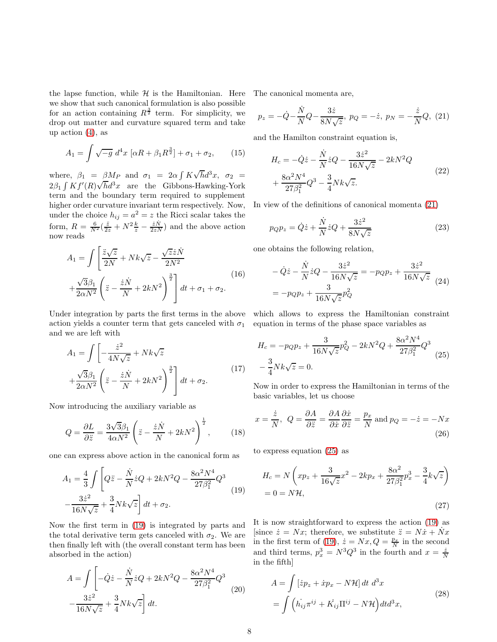the lapse function, while  $H$  is the Hamiltonian. Here we show that such canonical formulation is also possible for an action containing  $R^{\frac{3}{2}}$  term. For simplicity, we drop out matter and curvature squared term and take up action  $(4)$ , as

$$
A_1 = \int \sqrt{-g} \, d^4x \, \left[ \alpha R + \beta_1 R^{\frac{3}{2}} \right] + \sigma_1 + \sigma_2, \qquad (15)
$$

where,  $\beta_1 = \beta M_P$  and  $\sigma_1 = 2\alpha \int K \sqrt{h} d^3x$ ,  $\sigma_2 =$  $2\beta_1 \int K f'(R) \sqrt{h} d^3x$  are the Gibbons-Hawking-York term and the boundary term required to supplement higher order curvature invariant term respectively. Now, under the choice  $h_{ij} = a^2 = z$  the Ricci scalar takes the form,  $R = \frac{6}{N^2}(\frac{\ddot{z}}{2z} + N^2 \frac{k}{z} - \frac{\dot{z}\dot{N}}{2zN})$  and the above action now reads

$$
A_1 = \int \left[ \frac{\ddot{z}\sqrt{z}}{2N} + Nk\sqrt{z} - \frac{\sqrt{z}\dot{z}\dot{N}}{2N^2} + \frac{\sqrt{3}\beta_1}{2\alpha N^2} \left( \ddot{z} - \frac{\dot{z}\dot{N}}{N} + 2kN^2 \right)^{\frac{3}{2}} \right] dt + \sigma_1 + \sigma_2.
$$
\n(16)

Under integration by parts the first terms in the above which allows to express the Hamiltonian constraint action yields a counter term that gets canceled with  $\sigma_1$  equation in terms of the phase space variables as and we are left with

$$
A_1 = \int \left[ -\frac{\dot{z}^2}{4N\sqrt{z}} + Nk\sqrt{z} + \frac{\sqrt{3}\beta_1}{2\alpha N^2} \left( \dot{z} - \frac{\dot{z}\dot{N}}{N} + 2kN^2 \right)^{\frac{3}{2}} \right] dt + \sigma_2.
$$
 (17)

Now introducing the auxiliary variable as

$$
Q = \frac{\partial L}{\partial \ddot{z}} = \frac{3\sqrt{3}\beta_1}{4\alpha N^2} \left(\ddot{z} - \frac{\dot{z}\dot{N}}{N} + 2kN^2\right)^{\frac{1}{2}},\qquad(18)
$$

one can express above action in the canonical form as

$$
A_1 = \frac{4}{3} \int \left[ Q\ddot{z} - \frac{\dot{N}}{N} \dot{z} Q + 2kN^2 Q - \frac{8\alpha^2 N^4}{27\beta_1^2} Q^3 \right. \\
\left. - \frac{3\dot{z}^2}{16N\sqrt{z}} + \frac{3}{4} Nk\sqrt{z} \right] dt + \sigma_2.
$$
\n(19)

Now the first term in [\(19\)](#page-7-0) is integrated by parts and the total derivative term gets canceled with  $\sigma_2$ . We are then finally left with (the overall constant term has been absorbed in the action)

$$
A = \int \left[ -\dot{Q}\dot{z} - \frac{\dot{N}}{N}\dot{z}Q + 2kN^2Q - \frac{8\alpha^2N^4}{27\beta_1^2}Q^3 \right. \\
\left. - \frac{3\dot{z}^2}{16N\sqrt{z}} + \frac{3}{4}Nk\sqrt{z} \right] dt.
$$
\n(20)

The canonical momenta are,

<span id="page-7-1"></span>
$$
p_z = -\dot{Q} - \frac{\dot{N}}{N}Q - \frac{3\dot{z}}{8N\sqrt{z}}, \ p_Q = -\dot{z}, \ p_N = -\frac{\dot{z}}{N}Q, \ (21)
$$

and the Hamilton constraint equation is,

$$
H_c = -\dot{Q}\dot{z} - \frac{\dot{N}}{N}\dot{z}Q - \frac{3\dot{z}^2}{16N\sqrt{z}} - 2kN^2Q + \frac{8\alpha^2N^4}{27\beta_1^2}Q^3 - \frac{3}{4}Nk\sqrt{z}.
$$
 (22)

In view of the definitions of canonical momenta [\(21\)](#page-7-1)

$$
p_{Q}p_{z} = \dot{Q}\dot{z} + \frac{\dot{N}}{N}\dot{z}Q + \frac{3\dot{z}^{2}}{8N\sqrt{z}}
$$
\n(23)

one obtains the following relation,

<span id="page-7-2"></span>
$$
-\dot{Q}\dot{z} - \frac{\dot{N}}{N}\dot{z}Q - \frac{3\dot{z}^2}{16N\sqrt{z}} = -p_{Q}p_{z} + \frac{3\dot{z}^2}{16N\sqrt{z}} \tag{24}
$$

$$
= -p_{Q}p_{z} + \frac{3}{16N\sqrt{z}}p_{Q}^{2}
$$

$$
H_c = -p_Q p_z + \frac{3}{16N\sqrt{z}} p_Q^2 - 2kN^2 Q + \frac{8\alpha^2 N^4}{27\beta_1^2} Q^3
$$
  

$$
-\frac{3}{4}Nk\sqrt{z} = 0.
$$
 (25)

Now in order to express the Hamiltonian in terms of the basic variables, let us choose

$$
x = \frac{\dot{z}}{N}, \ Q = \frac{\partial A}{\partial \dot{z}} = \frac{\partial A}{\partial \dot{x}} \frac{\partial \dot{x}}{\partial \ddot{z}} = \frac{p_x}{N} \text{ and } p_Q = -\dot{z} = -Nx \tag{26}
$$

<span id="page-7-0"></span>to express equation [\(25\)](#page-7-2) as

$$
H_c = N\left(xp_z + \frac{3}{16\sqrt{z}}x^2 - 2kp_x + \frac{8\alpha^2}{27\beta_1^2}p_x^3 - \frac{3}{4}k\sqrt{z}\right)
$$
  
= 0 = N\mathcal{H}, (27)

It is now straightforward to express the action [\(19\)](#page-7-0) as [since  $\dot{z} = Nx$ ; therefore, we substitute  $\ddot{z} = N\dot{x} + Nx$ in the first term of [\(19\)](#page-7-0),  $\dot{z} = Nx$ ,  $Q = \frac{p_x}{N}$  in the second and third terms,  $p_x^3 = N^3 Q^3$  in the fourth and  $x = \frac{\dot{z}}{N}$ in the fifth]

$$
A = \int \left[\dot{z}p_z + \dot{x}p_x - N\mathcal{H}\right]dt \ d^3x
$$
  
= 
$$
\int \left(\dot{h_{ij}}\pi^{ij} + \dot{K_{ij}}\Pi^{ij} - N\mathcal{H}\right)dt d^3x,
$$
 (28)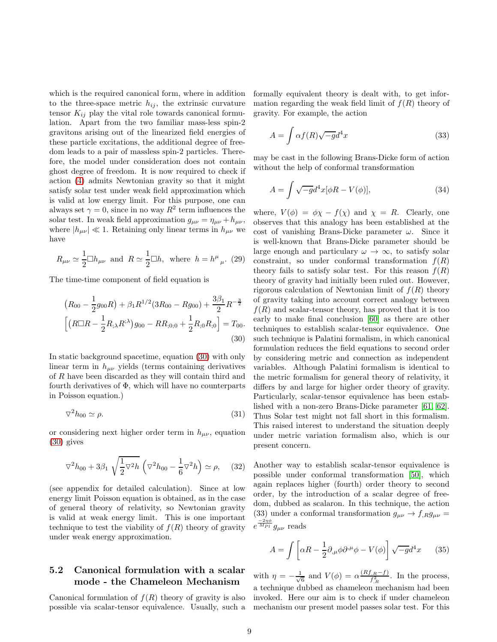which is the required canonical form, where in addition to the three-space metric  $h_{ij}$ , the extrinsic curvature tensor  $K_{ij}$  play the vital role towards canonical formulation. Apart from the two familiar mass-less spin-2 gravitons arising out of the linearized field energies of these particle excitations, the additional degree of freedom leads to a pair of massless spin-2 particles. Therefore, the model under consideration does not contain ghost degree of freedom. It is now required to check if action [\(4\)](#page-2-3) admits Newtonian gravity so that it might satisfy solar test under weak field approximation which is valid at low energy limit. For this purpose, one can always set  $\gamma = 0$ , since in no way  $R^2$  term influences the solar test. In weak field approximation  $g_{\mu\nu} = \eta_{\mu\nu} + h_{\mu\nu}$ , where  $|h_{\mu\nu}| \ll 1$ . Retaining only linear terms in  $h_{\mu\nu}$  we have

$$
R_{\mu\nu} \simeq \frac{1}{2} \Box h_{\mu\nu}
$$
 and  $R \simeq \frac{1}{2} \Box h$ , where  $h = h^{\mu}{}_{\mu}$ . (29)

The time-time component of field equation is

$$
(R_{00} - \frac{1}{2}g_{00}R) + \beta_1 R^{1/2} (3R_{00} - Rg_{00}) + \frac{3\beta_1}{2} R^{-\frac{3}{2}}
$$

$$
\left[ \left( R \Box R - \frac{1}{2}R_{\dot{+}} R^{\dot{+}} \right) g_{00} - R R_{\dot{+}} g_{0,0} + \frac{1}{2}R_{\dot{+}} g_{0} R_{\dot{+}} g \right] = T_{00}.
$$

$$
(30)
$$

In static background spacetime, equation [\(30\)](#page-8-0) with only linear term in  $h_{\mu\nu}$  yields (terms containing derivatives of R have been discarded as they will contain third and fourth derivatives of  $\Phi$ , which will have no counterparts in Poisson equation.)

$$
\nabla^2 h_{00} \simeq \rho. \tag{31}
$$

or considering next higher order term in  $h_{\mu\nu}$ , equation [\(30\)](#page-8-0) gives

$$
\nabla^2 h_{00} + 3\beta_1 \sqrt{\frac{1}{2}\nabla^2 h} \left( \nabla^2 h_{00} - \frac{1}{6}\nabla^2 h \right) \simeq \rho, \quad (32)
$$

(see appendix for detailed calculation). Since at low energy limit Poisson equation is obtained, as in the case of general theory of relativity, so Newtonian gravity is valid at weak energy limit. This is one important technique to test the viability of  $f(R)$  theory of gravity under weak energy approximation.

#### 5.2 Canonical formulation with a scalar mode - the Chameleon Mechanism

Canonical formulation of  $f(R)$  theory of gravity is also possible via scalar-tensor equivalence. Usually, such a formally equivalent theory is dealt with, to get information regarding the weak field limit of  $f(R)$  theory of gravity. For example, the action

$$
A = \int \alpha f(R)\sqrt{-g}d^4x \tag{33}
$$

may be cast in the following Brans-Dicke form of action without the help of conformal transformation

$$
A = \int \sqrt{-g}d^4x[\phi R - V(\phi)], \qquad (34)
$$

<span id="page-8-0"></span>where,  $V(\phi) = \phi \chi - f(\chi)$  and  $\chi = R$ . Clearly, one observes that this analogy has been established at the cost of vanishing Brans-Dicke parameter  $\omega$ . Since it is well-known that Brans-Dicke parameter should be large enough and particulary  $\omega \to \infty$ , to satisfy solar constraint, so under conformal transformation  $f(R)$ theory fails to satisfy solar test. For this reason  $f(R)$ theory of gravity had initially been ruled out. However, rigorous calculation of Newtonian limit of  $f(R)$  theory of gravity taking into account correct analogy between  $f(R)$  and scalar-tensor theory, has proved that it is too early to make final conclusion [\[60\]](#page-14-24) as there are other techniques to establish scalar-tensor equivalence. One such technique is Palatini formalism, in which canonical formulation reduces the field equations to second order by considering metric and connection as independent variables. Although Palatini formalism is identical to the metric formalism for general theory of relativity, it differs by and large for higher order theory of gravity. Particularly, scalar-tensor equivalence has been established with a non-zero Brans-Dicke parameter [\[61,](#page-14-25) [62\]](#page-14-26). Thus Solar test might not fall short in this formalism. This raised interest to understand the situation deeply under metric variation formalism also, which is our present concern.

Another way to establish scalar-tensor equivalence is possible under conformal transformation [\[50\]](#page-14-20), which again replaces higher (fourth) order theory to second order, by the introduction of a scalar degree of freedom, dubbed as scalaron. In this technique, the action (33) under a conformal transformation  $g_{\mu\nu} \rightarrow f_{R}g_{\mu\nu} =$  $e^{\frac{-2\eta \phi}{M_{Pl}}}g_{\mu\nu}$  reads

$$
A = \int \left[ \alpha R - \frac{1}{2} \partial_{,\mu} \phi \partial^{\mu} \phi - V(\phi) \right] \sqrt{-g} d^4 x \qquad (35)
$$

with  $\eta = -\frac{1}{\sqrt{2}}$  $\frac{1}{6}$  and  $V(\phi) = \alpha \frac{(Rf_R - f)}{f_R^2}$ . In the process, a technique dubbed as chameleon mechanism had been invoked. Here our aim is to check if under chameleon mechanism our present model passes solar test. For this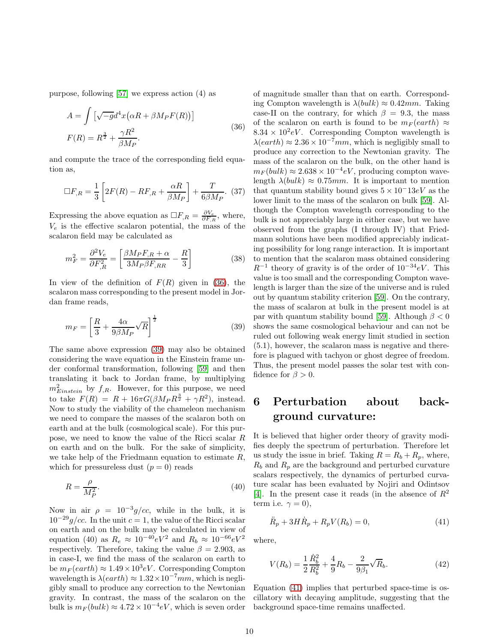purpose, following [\[57\]](#page-14-27) we express action (4) as

$$
A = \int \left[ \sqrt{-g} d^4 x \left( \alpha R + \beta M_P F(R) \right) \right]
$$
  
 
$$
F(R) = R^{\frac{3}{2}} + \frac{\gamma R^2}{\beta M_P}.
$$
 (36)

and compute the trace of the corresponding field equation as,

$$
\Box F_{,R} = \frac{1}{3} \left[ 2F(R) - RF_{,R} + \frac{\alpha R}{\beta M_P} \right] + \frac{T}{6\beta M_P}.
$$
 (37)

Expressing the above equation as  $\Box F_{,R} = \frac{\partial V_e}{\partial F_{,R}}$ , where,  $V_e$  is the effective scalaron potential, the mass of the scalaron field may be calculated as

$$
m_F^2 = \frac{\partial^2 V_e}{\partial F_{,R}^2} = \left[\frac{\beta M_P F_{,R} + \alpha}{3M_P \beta F_{,RR}} - \frac{R}{3}\right]
$$
(38)

In view of the definition of  $F(R)$  given in [\(36\)](#page-9-0), the scalaron mass corresponding to the present model in Jordan frame reads,

<span id="page-9-1"></span>
$$
m_F = \left[\frac{R}{3} + \frac{4\alpha}{9\beta M_P} \sqrt{R}\right]^{\frac{1}{2}}
$$
\n(39)

The same above expression [\(39\)](#page-9-1) may also be obtained considering the wave equation in the Einstein frame under conformal transformation, following [\[59\]](#page-14-28) and then translating it back to Jordan frame, by multiplying  $m_{Einstein}^2$  by  $f_{,R}$ . However, for this purpose, we need to take  $F(R) = R + 16\pi G(\beta M_P R^{\frac{3}{2}} + \gamma R^2)$ , instead. Now to study the viability of the chameleon mechanism we need to compare the masses of the scalaron both on earth and at the bulk (cosmological scale). For this purpose, we need to know the value of the Ricci scalar R on earth and on the bulk. For the sake of simplicity, we take help of the Friedmann equation to estimate  $R$ , which for pressureless dust  $(p = 0)$  reads

$$
R = \frac{\rho}{M_P^2}.\tag{40}
$$

Now in air  $\rho = 10^{-3} g/cc$ , while in the bulk, it is  $10^{-29}$ g/cc. In the unit c = 1, the value of the Ricci scalar on earth and on the bulk may be calculated in view of equation (40) as  $R_e \approx 10^{-40} eV^2$  and  $R_b \approx 10^{-66} eV^2$ respectively. Therefore, taking the value  $\beta = 2.903$ , as in case-I, we find the mass of the scalaron on earth to be  $m_F(earth) \approx 1.49 \times 10^3 eV$ . Corresponding Compton wavelength is  $\lambda(earth) \approx 1.32 \times 10^{-7}$  mm, which is negligibly small to produce any correction to the Newtonian gravity. In contrast, the mass of the scalaron on the bulk is  $m_F (bulk) \approx 4.72 \times 10^{-4} eV$ , which is seven order

<span id="page-9-0"></span>of magnitude smaller than that on earth. Corresponding Compton wavelength is  $\lambda (bulk) \approx 0.42 mm$ . Taking case-II on the contrary, for which  $\beta = 9.3$ , the mass of the scalaron on earth is found to be  $m_F(earth) \approx$  $8.34 \times 10^2 eV$ . Corresponding Compton wavelength is  $\lambda(earth) \approx 2.36 \times 10^{-7} \, \text{mm}$ , which is negligibly small to produce any correction to the Newtonian gravity. The mass of the scalaron on the bulk, on the other hand is  $m_F (bulk) \approx 2.638 \times 10^{-4} eV$ , producing compton wavelength  $\lambda (bulk) \approx 0.75$ mm. It is important to mention that quantum stability bound gives  $5 \times 10^- 13eV$  as the lower limit to the mass of the scalaron on bulk [\[59\]](#page-14-28). Although the Compton wavelength corresponding to the bulk is not appreciably large in either case, but we have observed from the graphs (I through IV) that Friedmann solutions have been modified appreciably indicating possibility for long range interaction. It is important to mention that the scalaron mass obtained considering  $R^{-1}$  theory of gravity is of the order of  $10^{-34}eV$ . This value is too small and the corresponding Compton wavelength is larger than the size of the universe and is ruled out by quantum stability criterion [\[59\]](#page-14-28). On the contrary, the mass of scalaron at bulk in the present model is at par with quantum stability bound [\[59\]](#page-14-28). Although  $\beta < 0$ shows the same cosmological behaviour and can not be ruled out following weak energy limit studied in section (5.1), however, the scalaron mass is negative and therefore is plagued with tachyon or ghost degree of freedom. Thus, the present model passes the solar test with confidence for  $\beta > 0$ .

# 6 Perturbation about background curvature:

It is believed that higher order theory of gravity modifies deeply the spectrum of perturbation. Therefore let us study the issue in brief. Taking  $R = R_b + R_p$ , where,  $R_b$  and  $R_p$  are the background and perturbed curvature scalars respectively, the dynamics of perturbed curvature scalar has been evaluated by Nojiri and Odintsov [\[4\]](#page-13-3). In the present case it reads (in the absence of  $R^2$ term i.e.  $\gamma = 0$ ),

<span id="page-9-2"></span>
$$
\ddot{R}_p + 3H\dot{R}_p + R_p V(R_b) = 0,\t\t(41)
$$

where,

$$
V(R_b) = \frac{1}{2} \frac{\dot{R}_b^2}{R_b^2} + \frac{4}{9} R_b - \frac{2}{9\beta_1} \sqrt{R_b}.
$$
 (42)

Equation [\(41\)](#page-9-2) implies that perturbed space-time is oscillatory with decaying amplitude, suggesting that the background space-time remains unaffected.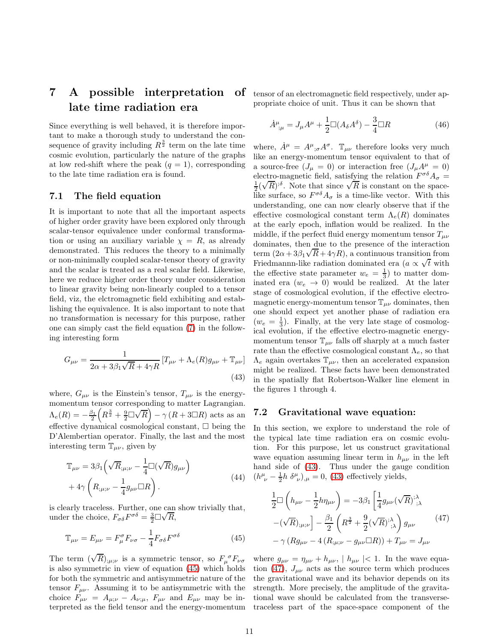# 7 A possible interpretation late time radiation era

Since everything is well behaved, it is therefore important to make a thorough study to understand the consequence of gravity including  $R^{\frac{3}{2}}$  term on the late time cosmic evolution, particularly the nature of the graphs at low red-shift where the peak  $(q = 1)$ , corresponding to the late time radiation era is found.

#### 7.1 The field equation

It is important to note that all the important aspects of higher order gravity have been explored only through scalar-tensor equivalence under conformal transformation or using an auxiliary variable  $\chi = R$ , as already demonstrated. This reduces the theory to a minimally or non-minimally coupled scalar-tensor theory of gravity and the scalar is treated as a real scalar field. Likewise, here we reduce higher order theory under consideration to linear gravity being non-linearly coupled to a tensor field, viz, the elctromagnetic field exhibiting and establishing the equivalence. It is also important to note that no transformation is necessary for this purpose, rather one can simply cast the field equation [\(7\)](#page-2-1) in the following interesting form

<span id="page-10-1"></span>
$$
G_{\mu\nu} = \frac{1}{2\alpha + 3\beta_1\sqrt{R} + 4\gamma R} \left[ T_{\mu\nu} + \Lambda_e(R)g_{\mu\nu} + \mathbb{T}_{\mu\nu} \right]
$$
\n(43)

where,  $G_{\mu\nu}$  is the Einstein's tensor,  $T_{\mu\nu}$  is the energymomentum tensor corresponding to matter Lagrangian.  $\Lambda_e(R) = -\frac{\beta_1}{2} \left( R^{\frac{3}{2}} + \frac{9}{2} \Box \sqrt{R} \right) - \gamma (R + 3 \Box R)$  acts as an effective dynamical cosmological constant,  $\Box$  being the D'Alembertian operator. Finally, the last and the most interesting term  $\mathbb{T}_{\mu\nu}$ , given by

$$
\mathbb{T}_{\mu\nu} = 3\beta_1 \left( \sqrt{R}_{;\mu;\nu} - \frac{1}{4} \Box(\sqrt{R}) g_{\mu\nu} \right) \n+ 4\gamma \left( R_{;\mu;\nu} - \frac{1}{4} g_{\mu\nu} \Box R \right).
$$
\n(44)

is clearly traceless. Further, one can show trivially that, under the choice,  $F_{\sigma\delta}F^{\sigma\delta} = \frac{3}{2}\Box\sqrt{R}$ ,

$$
\mathbb{T}_{\mu\nu} = E_{\mu\nu} = F_{\mu}^{\sigma} F_{\nu\sigma} - \frac{1}{4} F_{\sigma\delta} F^{\sigma\delta} \tag{45}
$$

The term  $(\sqrt{R})_{;\mu;\nu}$  is a symmetric tensor, so  $F_{\mu}^{\ \sigma}F_{\nu\sigma}$ is also symmetric in view of equation [\(45\)](#page-10-0) which holds for both the symmetric and antisymmetric nature of the tensor  $F_{\mu\nu}$ . Assuming it to be antisymmetric with the choice  $F_{\mu\nu} = A_{\mu;\nu} - A_{\nu;\mu}$ ,  $F_{\mu\nu}$  and  $E_{\mu\nu}$  may be interpreted as the field tensor and the energy-momentum

of tensor of an electromagnetic field respectively, under appropriate choice of unit. Thus it can be shown that

$$
\dot{A}^{\mu}_{;\mu} = J_{\mu}A^{\mu} + \frac{1}{2}\Box(A_{\delta}A^{\delta}) - \frac{3}{4}\Box R
$$
\n(46)

where,  $\dot{A}^{\mu} = A^{\mu}{}_{;\sigma} A^{\sigma}$ .  $\mathbb{T}_{\mu\nu}$  therefore looks very much like an energy-momentum tensor equivalent to that of a source-free  $(J_\mu = 0)$  or interaction free  $(J_\mu A^\mu = 0)$ electro-magnetic field, satisfying the relation  $F^{\sigma\delta}A_{\sigma} =$  $\frac{1}{2}(\sqrt{R})^{3\delta}$ . Note that since  $\sqrt{R}$  is constant on the spacelike surface, so  $F^{\sigma\delta}A_{\sigma}$  is a time-like vector. With this understanding, one can now clearly observe that if the effective cosmological constant term  $\Lambda_e(R)$  dominates at the early epoch, inflation would be realized. In the middle, if the perfect fluid energy momentum tensor  $T_{\mu\nu}$ dominates, then due to the presence of the interaction term  $(2\alpha + 3\beta_1\sqrt{R} + 4\gamma R)$ , a continuous transition from Friedmannn-like radiation dominated era ( $a \propto \sqrt{t}$  with the effective state parameter  $w_e = \frac{1}{3}$  to matter dominated era  $(w_e \rightarrow 0)$  would be realized. At the later stage of cosmological evolution, if the effective electromagnetic energy-momentum tensor  $\mathbb{T}_{\mu\nu}$  dominates, then one should expect yet another phase of radiation era  $(w_e = \frac{1}{3})$ . Finally, at the very late stage of cosmological evolution, if the effective electro-magnetic energymomentum tensor  $\mathbb{T}_{\mu\nu}$  falls off sharply at a much faster rate than the effective cosmological constant  $\Lambda_e$ , so that  $\Lambda_e$  again overtakes  $\mathbb{T}_{\mu\nu}$ , then an accelerated expansion might be realized. These facts have been demonstrated in the spatially flat Robertson-Walker line element in the figures 1 through 4.

#### 7.2 Gravitational wave equation:

In this section, we explore to understand the role of the typical late time radiation era on cosmic evolution. For this purpose, let us construct gravitational wave equation assuming linear term in  $h_{\mu\nu}$  in the left hand side of [\(43\)](#page-10-1). Thus under the gauge condition  $(h^{\mu}_{\ \nu} - \frac{1}{2}h \ \delta^{\mu}_{\ \nu})_{,\mu} = 0$ , [\(43\)](#page-10-1) effectively yields,

<span id="page-10-2"></span>
$$
\frac{1}{2}\Box \left( h_{\mu\nu} - \frac{1}{2}h\eta_{\mu\nu} \right) = -3\beta_1 \left[ \frac{1}{4}g_{\mu\nu}(\sqrt{R})^3 \right]_{;\lambda}^{\lambda} \n- (\sqrt{R})_{;\mu;\nu} \right] - \frac{\beta_1}{2} \left( R^{\frac{3}{2}} + \frac{9}{2}(\sqrt{R})^3 \right) g_{\mu\nu} \n- \gamma \left( Rg_{\mu\nu} - 4 \left( R_{;\mu;\nu} - g_{\mu\nu} \Box R \right) \right) + T_{\mu\nu} = J_{\mu\nu}
$$
\n(47)

<span id="page-10-0"></span>where  $g_{\mu\nu} = \eta_{\mu\nu} + h_{\mu\nu}$ ,  $|h_{\mu\nu}| < 1$ . In the wave equa-tion [\(47\)](#page-10-2),  $J_{\mu\nu}$  acts as the source term which produces the gravitational wave and its behavior depends on its strength. More precisely, the amplitude of the gravitational wave should be calculated from the transversetraceless part of the space-space component of the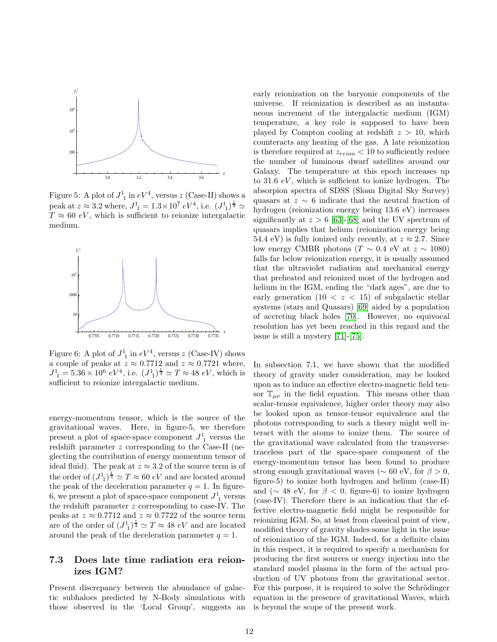

Figure 5: A plot of  $J_1^1$  in  $eV^4$ , versus z (Case-II) shows a peak at  $z \approx 3.2$  where,  $J^1_{\ 1} = 1.3 \times 10^7 \ eV^4$ , i.e.  $(J^1_{\ 1})^{\frac{1}{4}} \simeq$  $T \approx 60 \text{ eV}$ , which is sufficient to reionize intergalactic medium.



Figure 6: A plot of  $J_1^1$  in  $eV^4$ , versus z (Case-IV) shows a couple of peaks at  $z \approx 0.7712$  and  $z \approx 0.7721$  where,  $J_{1}^{1} = 5.36 \times 10^{6} eV^{4}$ , i.e.  $(J_{1}^{1})^{\frac{1}{4}} \simeq T \approx 48 eV$ , which is sufficient to reionize intergalactic medium.

energy-momentum tensor, which is the source of the gravitational waves. Here, in figure-5, we therefore present a plot of space-space component  $J_1^1$  versus the redshift parameter z corresponding to the Case-II (neglecting the contribution of energy momentum tensor of ideal fluid). The peak at  $z \approx 3.2$  of the source term is of the order of  $(J_1)^{\frac{1}{4}} \simeq T \approx 60 \text{ eV}$  and are located around the peak of the deceleration parameter  $q = 1$ . In figure-6, we present a plot of space-space component  $J_1^1$  versus the redshift parameter  $z$  corresponding to case-IV. The peaks at  $z \approx 0.7712$  and  $z \approx 0.7722$  of the source term are of the order of  $(J_1^1)^{\frac{1}{4}} \simeq T \approx 48 \ eV$  and are located around the peak of the deceleration parameter  $q = 1$ .

#### 7.3 Does late time radiation era reionizes IGM?

Present discrepancy between the abundance of galactic subhaloes predicted by N-Body simulations with those observed in the 'Local Group', suggests an early reionization on the baryonic components of the universe. If reionization is described as an instantaneous increment of the intergalactic medium (IGM) temperature, a key role is supposed to have been played by Compton cooling at redshift  $z > 10$ , which counteracts any heating of the gas. A late reionization is therefore required at  $z_{reion} < 10$  to sufficiently reduce the number of luminous dwarf satellites around our Galaxy. The temperature at this epoch increases up to 31.6  $eV$ , which is sufficient to ionize hydrogen. The absorpion spectra of SDSS (Sloan Digital Sky Survey) quasars at  $z \sim 6$  indicate that the neutral fraction of hydrogen (reionization energy being 13.6 eV) increases significantly at  $z > 6$  [\[63\]](#page-14-29)-[\[68\]](#page-14-30) and the UV spectrum of quasars implies that helium (reionization energy being 54.4 eV) is fully ionized only recently, at  $z \approx 2.7$ . Since low energy CMBR photons ( $T \sim 0.4$  eV at  $z \sim 1080$ ) falls far below reionization energy, it is usually assumed that the ultraviolet radiation and mechanical energy that preheated and reionized most of the hydrogen and helium in the IGM, ending the "dark ages", are due to early generation  $(10 < z < 15)$  of subgalactic stellar systems (stars and Quasars) [\[69\]](#page-14-31) aided by a population of accreting black holes [\[70\]](#page-14-32). However, no equivocal resolution has yet been reached in this regard and the issue is still a mystery [\[71\]](#page-14-33)-[\[75\]](#page-14-34).

In subsection 7.1, we have shown that the modified theory of gravity under consideration, may be looked upon as to induce an effective electro-magnetic field tensor  $\mathbb{T}_{\mu\nu}$  in the field equation. This means other than scalar-tensor equivalence, higher order theory may also be looked upon as tensor-tensor equivalence and the photons corresponding to such a theory might well interact with the atoms to ionize them. The source of the gravitational wave calculated from the transversetraceless part of the space-space component of the energy-momentum tensor has been found to produce strong enough gravitational waves ( $\sim 60$  eV, for  $\beta > 0$ , figure-5) to ionize both hydrogen and helium (case-II) and ( $\sim$  48 eV, for  $\beta$  < 0, figure-6) to ionize hydrogen (case-IV). Therefore there is an indication that the effective electro-magnetic field might be responsible for reionizing IGM. So, at least from classical point of view, modified theory of gravity shades some light in the issue of reionization of the IGM. Indeed, for a definite claim in this respect, it is required to specify a mechanism for producing the first sources or energy injection into the standard model plasma in the form of the actual production of UV photons from the gravitational sector. For this purpose, it is required to solve the Schrödinger equation in the presence of gravitational Waves, which is beyond the scope of the present work.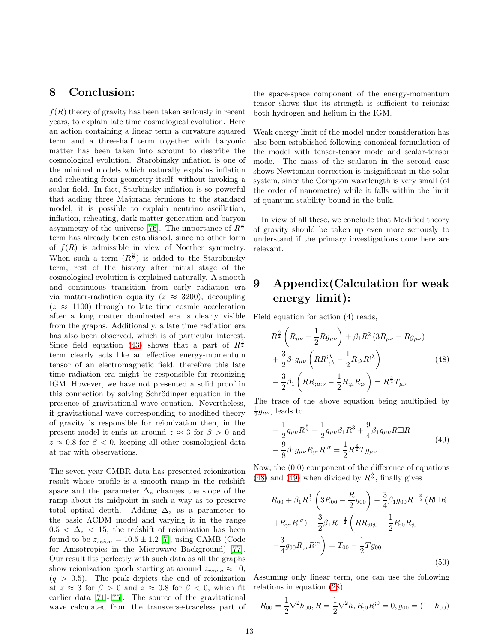### 8 Conclusion:

 $f(R)$  theory of gravity has been taken seriously in recent years, to explain late time cosmological evolution. Here an action containing a linear term a curvature squared term and a three-half term together with baryonic matter has been taken into account to describe the cosmological evolution. Starobinsky inflation is one of the minimal models which naturally explains inflation and reheating from geometry itself, without invoking a scalar field. In fact, Starbinsky inflation is so powerful that adding three Majorana fermions to the standard model, it is possible to explain neutrino oscillation, inflation, reheating, dark matter generation and baryon asymmetry of the universe [\[76\]](#page-14-35). The importance of  $R^{\frac{3}{2}}$ term has already been established, since no other form of  $f(R)$  is admissible in view of Noether symmetry. When such a term  $(R^{\frac{3}{2}})$  is added to the Starobinsky term, rest of the history after initial stage of the cosmological evolution is explained naturally. A smooth and continuous transition from early radiation era via matter-radiation equality ( $z \approx 3200$ ), decoupling  $(z \approx 1100)$  through to late time cosmic acceleration after a long matter dominated era is clearly visible from the graphs. Additionally, a late time radiation era has also been observed, which is of particular interest. Since field equation [\(43\)](#page-10-1) shows that a part of  $R^{\frac{3}{2}}$ term clearly acts like an effective energy-momentum tensor of an electromagnetic field, therefore this late time radiation era might be responsible for reionizing IGM. However, we have not presented a solid proof in this connection by solving Schrödinger equation in the presence of gravitational wave equation. Nevertheless, if gravitational wave corresponding to modified theory of gravity is responsible for reionization then, in the present model it ends at around  $z \approx 3$  for  $\beta > 0$  and  $z \approx 0.8$  for  $\beta < 0$ , keeping all other cosmological data at par with observations.

The seven year CMBR data has presented reionization result whose profile is a smooth ramp in the redshift space and the parameter  $\Delta_z$  changes the slope of the ramp about its midpoint in such a way as to preserve total optical depth. Adding  $\Delta_z$  as a parameter to the basic ΛCDM model and varying it in the range  $0.5 < \Delta_z < 15$ , the redshift of reionization has been found to be  $z_{reion} = 10.5 \pm 1.2$  [\[7\]](#page-13-6), using CAMB (Code for Anisotropies in the Microwave Background) [\[77\]](#page-14-36). Our result fits perfectly with such data as all the graphs show reionization epoch starting at around  $z_{reion} \approx 10$ ,  $(q > 0.5)$ . The peak depicts the end of reionization at  $z \approx 3$  for  $\beta > 0$  and  $z \approx 0.8$  for  $\beta < 0$ , which fit earlier data [\[71\]](#page-14-33)-[\[75\]](#page-14-34). The source of the gravitational wave calculated from the transverse-traceless part of the space-space component of the energy-momentum tensor shows that its strength is sufficient to reionize both hydrogen and helium in the IGM.

Weak energy limit of the model under consideration has also been established following canonical formulation of the model with tensor-tensor mode and scalar-tensor mode. The mass of the scalaron in the second case shows Newtonian correction is insignificant in the solar system, since the Compton wavelength is very small (of the order of nanometre) while it falls within the limit of quantum stability bound in the bulk.

In view of all these, we conclude that Modified theory of gravity should be taken up even more seriously to understand if the primary investigations done here are relevant.

# 9 Appendix(Calculation for weak energy limit):

Field equation for action (4) reads,

<span id="page-12-0"></span>
$$
R^{\frac{3}{2}}\left(R_{\mu\nu} - \frac{1}{2}Rg_{\mu\nu}\right) + \beta_1 R^2 (3R_{\mu\nu} - Rg_{\mu\nu}) + \frac{3}{2}\beta_1 g_{\mu\nu}\left(RR^{\dot{\gamma}}_{;\lambda} - \frac{1}{2}R_{;\lambda}R^{\dot{\gamma}}\right) - \frac{3}{2}\beta_1\left(RR_{;\mu;\nu} - \frac{1}{2}R_{;\mu}R_{;\nu}\right) = R^{\frac{3}{2}}T_{\mu\nu}
$$
\n(48)

The trace of the above equation being multiplied by  $\frac{1}{2}g_{\mu\nu}$ , leads to

<span id="page-12-1"></span>
$$
-\frac{1}{2}g_{\mu\nu}R^{\frac{5}{2}} - \frac{1}{2}g_{\mu\nu}\beta_1R^3 + \frac{9}{4}\beta_1g_{\mu\nu}R\Box R
$$
  

$$
-\frac{9}{8}\beta_1g_{\mu\nu}R_{;\sigma}R^{;\sigma} = \frac{1}{2}R^{\frac{3}{2}}Tg_{\mu\nu}
$$
(49)

Now, the (0,0) component of the difference of equations [\(48\)](#page-12-0) and [\(49\)](#page-12-1) when divided by  $R^{\frac{3}{2}}$ , finally gives

$$
R_{00} + \beta_1 R^{\frac{1}{2}} \left( 3R_{00} - \frac{R}{2} g_{00} \right) - \frac{3}{4} \beta_1 g_{00} R^{-\frac{3}{2}} \left( R \Box R
$$
  
+ $R_{;\sigma} R^{;\sigma} \right) - \frac{3}{2} \beta_1 R^{-\frac{3}{2}} \left( R R_{;0;0} - \frac{1}{2} R_{;0} R_{;0} \right)$   

$$
-\frac{3}{4} g_{00} R_{;\sigma} R^{;\sigma} \right) = T_{00} - \frac{1}{2} T g_{00}
$$
(50)

Assuming only linear term, one can use the following relations in equation [\(28](#page-1-0))

$$
R_{00} = \frac{1}{2} \nabla^2 h_{00}, R = \frac{1}{2} \nabla^2 h, R_{;0} R^{;0} = 0, g_{00} = (1 + h_{00})
$$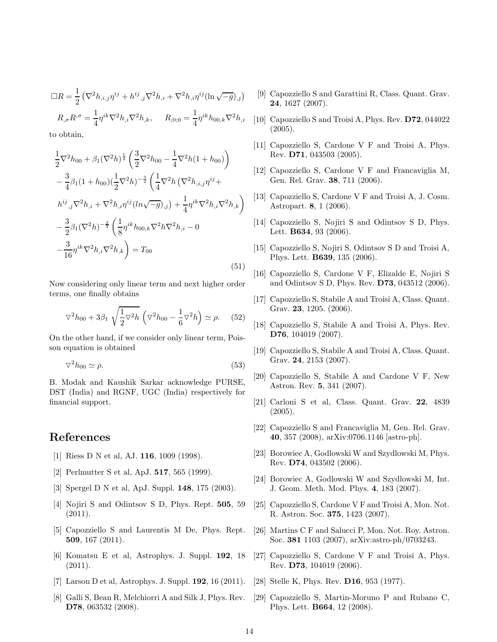$$
\Box R = \frac{1}{2} \left( \nabla^2 h_{,i,j} \eta^{ij} + h^{ij}{}_{,j} \nabla^2 h_{,i} + \nabla^2 h_{,i} \eta^{ij} (\ln \sqrt{-g})_{,j} \right)
$$
  

$$
R_{,\sigma} R^{,\sigma} = \frac{1}{4} \eta^{ik} \nabla^2 h_{,i} \nabla^2 h_{,k}, \qquad R_{,0,0} = \frac{1}{4} \eta^{ik} h_{00,k} \nabla^2 h_{,i}
$$

to obtain,

$$
\frac{1}{2}\nabla^2 h_{00} + \beta_1 (\nabla^2 h)^{\frac{1}{2}} \left( \frac{3}{2}\nabla^2 h_{00} - \frac{1}{4}\nabla^2 h (1 + h_{00}) \right) \n- \frac{3}{4}\beta_1 (1 + h_{00})(\frac{1}{2}\nabla^2 h)^{-\frac{3}{2}} \left( \frac{1}{4}\nabla^2 h (\nabla^2 h_{,i,j}\eta^{ij} + h^{ij}_{,j}\nabla^2 h_{,i} + \nabla^2 h_{,i}\eta^{ij}(ln\sqrt{-g})_{,j}) + \frac{1}{4}\eta^{ik}\nabla^2 h_{,i}\nabla^2 h_{,k} \right) \n- \frac{3}{2}\beta_1 (\nabla^2 h)^{-\frac{3}{2}} \left( \frac{1}{8}\eta^{ik}h_{00,k}\nabla^2 h\nabla^2 h_{,i} - 0 \n- \frac{3}{16}\eta^{ik}\nabla^2 h_{,i}\nabla^2 h_{,k} \right) = T_{00}
$$
\n(51)

Now considering only linear term and next higher order terms, one finally obtains

$$
\nabla^2 h_{00} + 3\beta_1 \sqrt{\frac{1}{2}\nabla^2 h} \left( \nabla^2 h_{00} - \frac{1}{6}\nabla^2 h \right) \simeq \rho. \quad (52)
$$

On the other hand, if we consider only linear term, Poisson equation is obtained

$$
\nabla^2 h_{00} \simeq \rho. \tag{53}
$$

B. Modak and Kaushik Sarkar acknowledge PURSE, DST (India) and RGNF, UGC (India) respectively for financial support.

### <span id="page-13-0"></span>References

- <span id="page-13-1"></span>[1] Riess D N et al, AJ. 116, 1009 (1998).
- <span id="page-13-2"></span>[2] Perlmutter S et al, ApJ. 517, 565 (1999).
- <span id="page-13-3"></span>[3] Spergel D N et al, ApJ. Suppl. 148, 175 (2003).
- [4] Nojiri S and Odintsov S D, Phys. Rept. 505, 59 (2011).
- <span id="page-13-4"></span>[5] Capozziello S and Laurentis M De, Phys. Rept. 509, 167 (2011).
- <span id="page-13-5"></span>[6] Komatsu E et al, Astrophys. J. Suppl. 192, 18 (2011).
- <span id="page-13-7"></span><span id="page-13-6"></span>[7] Larson D et al, Astrophys. J. Suppl. 192, 16 (2011).
- [8] Galli S, Bean R, Melchiorri A and Silk J, Phys. Rev. D78, 063532 (2008).
- <span id="page-13-8"></span>[9] Capozziello S and Garattini R, Class. Quant. Grav. 24, 1627 (2007).
- [10] Capozziello S and Troisi A, Phys. Rev. D72, 044022 (2005).
- [11] Capozziello S, Cardone V F and Troisi A, Phys. Rev. D71, 043503 (2005).
- [12] Capozziello S, Cardone V F and Francaviglia M, Gen. Rel. Grav. 38, 711 (2006).
- [13] Capozziello S, Cardone V F and Troisi A, J. Cosm. Astropart. 8, 1 (2006).
- [14] Capozziello S, Nojiri S and Odintsov S D, Phys. Lett. B634, 93 (2006).
- [15] Capozziello S, Nojiri S, Odintsov S D and Troisi A, Phys. Lett. B639, 135 (2006).
- [16] Capozziello S, Cardone V F, Elizalde E, Nojiri S and Odintsov S D, Phys. Rev. D73, 043512 (2006).
- [17] Capozziello S, Stabile A and Troisi A, Class. Quant. Grav. 23, 1205. (2006).
- [18] Capozziello S, Stabile A and Troisi A, Phys. Rev. D76, 104019 (2007).
- [19] Capozziello S, Stabile A and Troisi A, Class. Quant. Grav. 24, 2153 (2007).
- [20] Capozziello S, Stabile A and Cardone V F, New Astron. Rev. 5, 341 (2007).
- [21] Carloni S et al, Class. Quant. Grav. 22, 4839 (2005).
- [22] Capozziello S and Francaviglia M, Gen. Rel. Grav. 40, 357 (2008), arXiv:0706.1146 [astro-ph].
- [23] Borowiec A, Godlowski W and Szydlowski M, Phys. Rev. D74, 043502 (2006).
- <span id="page-13-9"></span>[24] Borowiec A, Godlowski W and Szydlowski M, Int. J. Geom. Meth. Mod. Phys. 4, 183 (2007).
- <span id="page-13-10"></span>[25] Capozziello S, Cardone V F and Troisi A, Mon. Not. R. Astron. Soc. 375, 1423 (2007).
- <span id="page-13-11"></span>[26] Martins C F and Salucci P, Mon. Not. Roy. Astron. Soc. 381 1103 (2007), arXiv:astro-ph/0703243.
- <span id="page-13-12"></span>[27] Capozziello S, Cardone V F and Troisi A, Phys. Rev. D73, 104019 (2006).
- <span id="page-13-14"></span><span id="page-13-13"></span>[28] Stelle K, Phys. Rev. **D16**, 953 (1977).
- [29] Capozziello S, Martin-Moruno P and Rubano C, Phys. Lett. B664, 12 (2008).